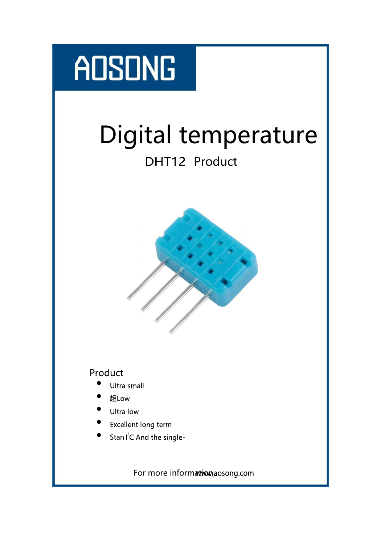# **ADSONG**

# Digital temperature

## DHT12 Product



## Product

- $\bullet$ Ultra small
- 超
- $\bullet$ Ultra low
- $\bullet$ Excellent long term
- Stan I<sup>2</sup>C And the single-

For more information, aosong.com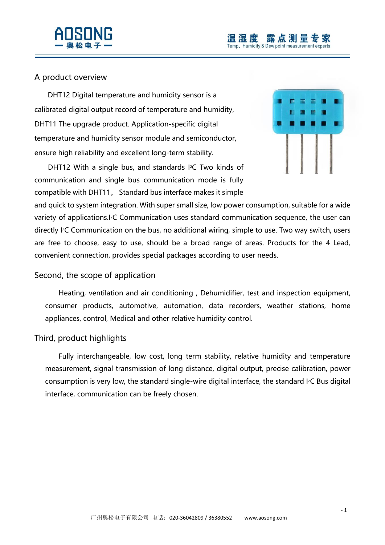



#### A product overview

DHT12 Digital temperature and humidity sensor is a calibrated digital output record of temperature and humidity, DHT11 The upgrade product. Application-specific digital temperature and humidity sensor module and semiconductor, ensure high reliability and excellent long-term stability.

DHT12 With a single bus, and standards I<sup>2</sup>C Two kinds of communication and single bus communication mode is fully compatible with DHT11。 Standard bus interface makes it simple



and quick to system integration. With super small size, low power consumption, suitable for a wide variety of applications.I2C Communication uses standard communication sequence, the user can directly I2C Communication on the bus, no additional wiring, simple to use. Two way switch, users are free to choose, easy to use, should be a broad range of areas. Products for the 4 Lead, convenient connection, provides special packages according to user needs.

#### Second, the scope of application

Heating, ventilation and air conditioning , Dehumidifier, test and inspection equipment, consumer products, automotive, automation, data recorders, weather stations, home appliances, control, Medical and other relative humidity control.

#### Third, product highlights

Fully interchangeable, low cost, long term stability, relative humidity and temperature measurement, signal transmission of long distance, digital output, precise calibration, power consumption is very low, the standard single-wire digital interface, the standard I2C Bus digital interface, communication can be freely chosen.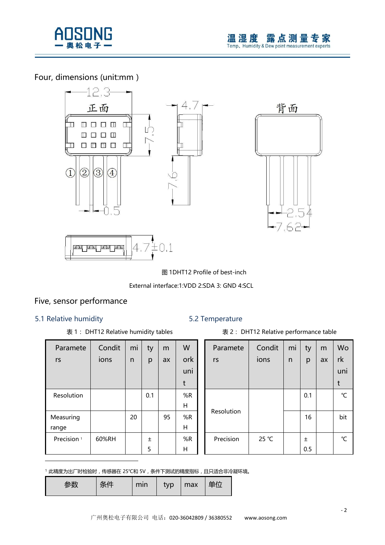

### Four, dimensions (unit:mm)





图 1DHT12 Profile of best-inch

#### External interface:1:VDD 2:SDA 3: GND 4:SCL

#### Five, sensor performance

#### 5.1 Relative humidity 5.2 Temperature

-

| Paramete               | Condit | mi | ty    | m  | W   |
|------------------------|--------|----|-------|----|-----|
| rs                     | ions   | n  | p     | ax | ork |
|                        |        |    |       |    | uni |
|                        |        |    |       |    | t   |
| Resolution             |        |    | 0.1   |    | %R  |
|                        |        |    |       |    | н   |
| Measuring              |        | 20 |       | 95 | %R  |
| range                  |        |    |       |    | н   |
| Precision <sup>1</sup> | 60%RH  |    | $\pm$ |    | %R  |
|                        |        |    | 5     |    | Н   |

#### 表 1: DHT12 Relative humidity tables <br>
素 2: DHT12 Relative performance table

| Paramete   | Condit | mi | ty  | m  | Wo  |
|------------|--------|----|-----|----|-----|
| rs         | ions   | n  | p   | ax | rk  |
|            |        |    |     |    | uni |
|            |        |    |     |    | t   |
|            |        |    | 0.1 |    | °C  |
| Resolution |        |    | 16  |    | bit |
| Precision  | 25 °C  |    | 土   |    | ℃   |
|            |        |    | 0.5 |    |     |

1 此精度为出厂时检验时, 传感器在 25℃和 5V, 条件下测试的精度指标, 且只适合非冷凝环境。

| ヘルト<br>14 14<br>-- - - | min | typ | max | 单位 |
|------------------------|-----|-----|-----|----|
|------------------------|-----|-----|-----|----|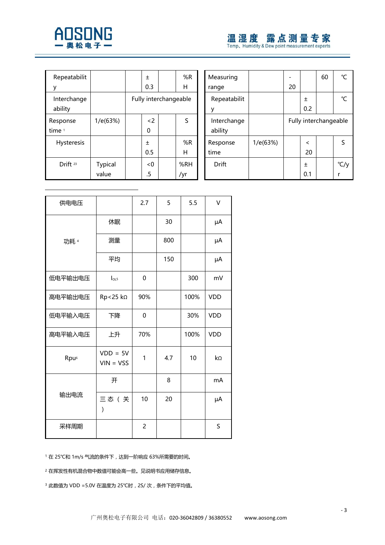

## 温湿度 露点测量专家

| Repeatabilit           |                         | 土         |                       | %R         | Measuring              |
|------------------------|-------------------------|-----------|-----------------------|------------|------------------------|
|                        |                         | 0.3       |                       | н          | range                  |
| Interchange<br>ability |                         |           | Fully interchangeable |            | Repeatabilit           |
| Response<br>time 1     | 1/e(63%)                | < 2<br>0  |                       | S          | Interchange<br>ability |
| <b>Hysteresis</b>      |                         | 土<br>0.5  |                       | %R<br>н    | Response<br>time       |
| Drift <sup>23</sup>    | <b>Typical</b><br>value | < 0<br>.5 |                       | %RH<br>/yr | <b>Drift</b>           |

| %R  | Measuring    |          |    |         | 60                    | °C              |
|-----|--------------|----------|----|---------|-----------------------|-----------------|
| ┥   | range        |          | 20 |         |                       |                 |
| ble | Repeatabilit |          |    | Ŧ       |                       | $\rm ^{\circ}C$ |
|     |              |          |    | 0.2     |                       |                 |
| Ś   | Interchange  |          |    |         | Fully interchangeable |                 |
|     | ability      |          |    |         |                       |                 |
| %R  | Response     | 1/e(63%) |    | $\,<\,$ |                       | S               |
| ┪   | time         |          |    | 20      |                       |                 |
| RH  | Drift        |          |    | 土       |                       | °C/y            |
| r   |              |          |    | 0.1     |                       |                 |
|     |              |          |    |         |                       |                 |

| 供电电压             |                           | 2.7 | 5   | 5.5  | V          |
|------------------|---------------------------|-----|-----|------|------------|
|                  | 休眠                        |     | 30  |      | μA         |
| 功耗 4             | 测量                        |     | 800 |      | μA         |
|                  | 平均                        |     | 150 |      | μA         |
| 低电平输出电压          | I <sub>OL5</sub>          | 0   |     | 300  | mV         |
| 高电平输出电压          | Rp<25 kΩ                  | 90% |     | 100% | <b>VDD</b> |
| 低电平输入电压          | 下降                        | 0   |     | 30%  | <b>VDD</b> |
| 高电平输入电压          | 上升                        | 70% |     | 100% | <b>VDD</b> |
| Rpu <sup>6</sup> | $VDD = 5V$<br>$VIN = VSS$ | 1   | 4.7 | 10   | kΩ         |
|                  | 开                         |     | 8   |      | mA         |
| 输出电流             | 三态(关<br>$\mathcal{E}$     | 10  | 20  |      | μA         |
| 采样周期             |                           | 2   |     |      | S          |

1 在 25℃和 1m/s 气流的条件下, 达到一阶响应 63%所需要的时间。

<sup>2</sup> 在挥发性有机混合物中数值可能会高一些。见说明书应用储存信息。

<sup>3</sup> 此数值为 VDD =5.0V 在温度为 25℃时,2S/ 次,条件下的平均值。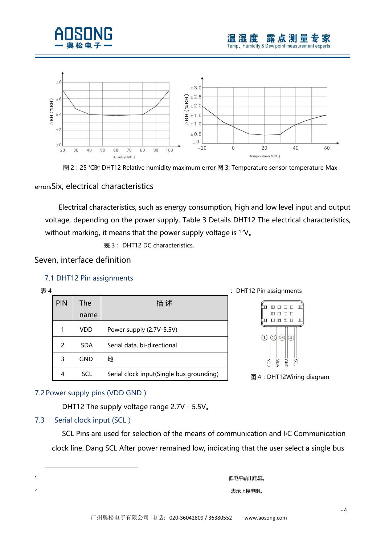



图 2:25 ℃时 DHT12 Relative humidity maximum error 图 3: Temperature sensor temperature Max

#### errorsSix, electrical characteristics

Electrical characteristics, such as energy consumption, high and low level input and output voltage, depending on the power supply. Table 3 Details DHT12 The electrical characteristics, without marking, it means that the power supply voltage is <sup>12</sup>V.

表 3: DHT12 DC characteristics.

#### Seven, interface definition

#### 7.1 DHT12 Pin assignments

| 表 4 |            |             |                                          | : DHT12 Pin assignments                                            |
|-----|------------|-------------|------------------------------------------|--------------------------------------------------------------------|
|     | <b>PIN</b> | The<br>name | 描述                                       | $\Box$<br><b>m m m</b>                                             |
|     | 1          | <b>VDD</b>  | Power supply (2.7V-5.5V)                 |                                                                    |
|     | 2          | <b>SDA</b>  | Serial data, bi-directional              | $\circledS$<br>$\circled{3}$<br>$\circled{4}$<br>(1)               |
|     | 3          | <b>GND</b>  | 地                                        | <b>SGND</b><br><b>SDA</b><br>$\overline{\mathsf{S}}$<br><b>SCL</b> |
|     | 4          | <b>SCL</b>  | Serial clock input(Single bus grounding) | 图 4: DHT12Wirind                                                   |





#### 7.2 Power supply pins (VDD GND)

DHT12 The supply voltage range 2.7V - 5.5V。

#### 7.3 Serial clock input (SCL)

SCL Pins are used for selection of the means of communication and I2C Communication clock line. Dang SCL After power remained low, indicating that the user select a single bus

<sup>1</sup> 低电平输出电流。 <sup>2</sup> 表示上接电阻。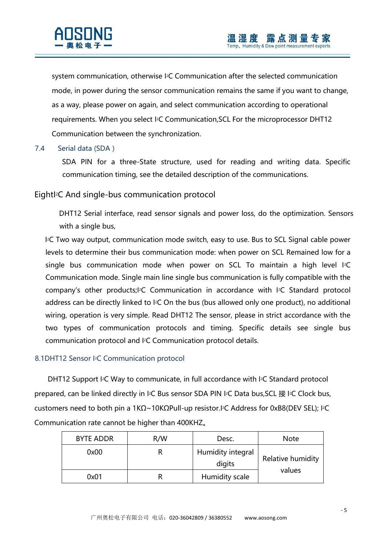system communication, otherwise I2C Communication after the selected communication mode, in power during the sensor communication remains the same if you want to change, as a way, please power on again, and select communication according to operational requirements. When you select I2C Communication,SCL For the microprocessor DHT12 Communication between the synchronization.

#### 7.4 Serial data (SDA)

SDA PIN for a three-State structure, used for reading and writing data. Specific communication timing, see the detailed description of the communications.

#### EightI2C And single-bus communication protocol

DHT12 Serial interface, read sensor signals and power loss, do the optimization. Sensors with a single bus,

I <sup>2</sup>C Two way output, communication mode switch, easy to use. Bus to SCL Signal cable power levels to determine their bus communication mode: when power on SCL Remained low for a single bus communication mode when power on SCL To maintain a high level I<sup>2</sup>C Communication mode. Single main line single bus communication is fully compatible with the company's other products;I2C Communication in accordance with I2C Standard protocol address can be directly linked to <sup>12</sup>C On the bus (bus allowed only one product), no additional wiring, operation is very simple. Read DHT12 The sensor, please in strict accordance with the two types of communication protocols and timing. Specific details see single bus communication protocol and I2C Communication protocol details.

#### 8.1DHT12 Sensor I2C Communication protocol

DHT12 Support I<sup>2</sup>C Way to communicate, in full accordance with I<sup>2</sup>C Standard protocol prepared, can be linked directly in l<sup>2</sup>C Bus sensor SDA PIN l<sup>2</sup>C Data bus, SCL 接 l<sup>2</sup>C Clock bus, customers need to both pin a 1KΩ~10KΩPull-up resistor.I2C Address for 0xB8(DEV SEL); I2C Communication rate cannot be higher than 400KHZ。

| <b>BYTE ADDR</b> | R/W | Desc.                       | <b>Note</b>       |
|------------------|-----|-----------------------------|-------------------|
| 0x00             |     | Humidity integral<br>digits | Relative humidity |
| 0x01             |     | Humidity scale              | values            |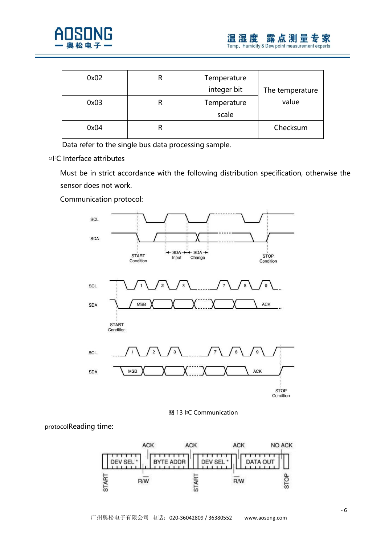

| 0x02 | Temperature<br>integer bit | The temperature |
|------|----------------------------|-----------------|
| 0x03 | Temperature<br>scale       | value           |
|      |                            |                 |
| 0x04 |                            | Checksum        |

Data refer to the single bus data processing sample.

◎I2C Interface attributes

Must be in strict accordance with the following distribution specification, otherwise the sensor does not work.

Communication protocol:





protocolReading time:

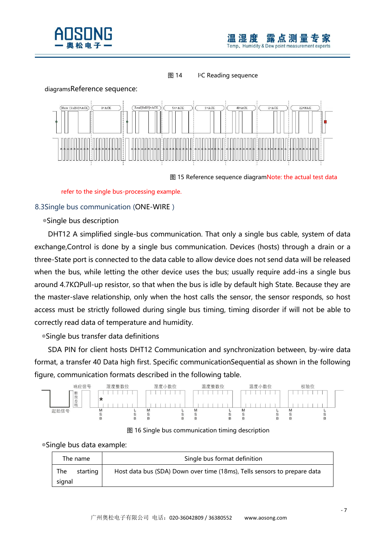

#### 图 14 <sup>2</sup>C Reading sequence



图 15 Reference sequence diagramNote: the actual test data

refer to the single bus-processing example.

#### 8.3Single bus communication (ONE-WIRE)

◎Single bus description

DHT12 A simplified single-bus communication. That only a single bus cable, system of data exchange,Control is done by a single bus communication. Devices (hosts) through a drain or a three-State port is connected to the data cable to allow device does not send data will be released when the bus, while letting the other device uses the bus; usually require add-ins a single bus around 4.7KΩPull-up resistor, so that when the bus is idle by default high State. Because they are the master-slave relationship, only when the host calls the sensor, the sensor responds, so host access must be strictly followed during single bus timing, timing disorder if will not be able to correctly read data of temperature and humidity.

◎Single bus transfer data definitions

SDA PIN for client hosts DHT12 Communication and synchronization between, by-wire data format, a transfer 40 Data high first. Specific communicationSequential as shown in the following figure, communication formats described in the following table.



图 16 Single bus communication timing description

#### ◎Single bus data example:

| The name                  | Single bus format definition                                             |
|---------------------------|--------------------------------------------------------------------------|
| The<br>starting<br>signal | Host data bus (SDA) Down over time (18ms), Tells sensors to prepare data |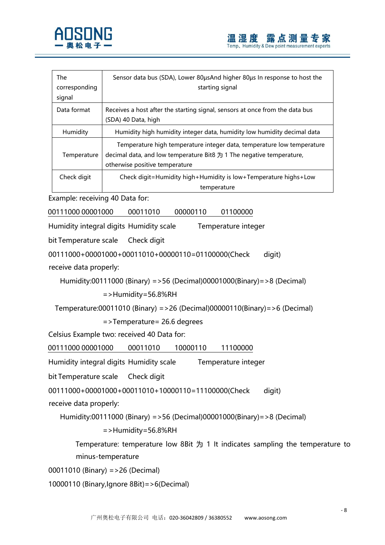

| The<br>corresponding<br>signal | Sensor data bus (SDA), Lower 80 us And higher 80 us In response to host the<br>starting signal                                                                                   |
|--------------------------------|----------------------------------------------------------------------------------------------------------------------------------------------------------------------------------|
| Data format                    | Receives a host after the starting signal, sensors at once from the data bus<br>(SDA) 40 Data, high                                                                              |
| Humidity                       | Humidity high humidity integer data, humidity low humidity decimal data                                                                                                          |
| Temperature                    | Temperature high temperature integer data, temperature low temperature<br>decimal data, and low temperature Bit8 为 1 The negative temperature,<br>otherwise positive temperature |
| Check digit                    | Check digit=Humidity high+Humidity is low+Temperature highs+Low<br>temperature                                                                                                   |

Example: receiving 40 Data for:

00111000 00001000 00011010 00000110 01100000

Humidity integral digits Humidity scale Temperature integer

bit Temperature scale Check digit

00111000+00001000+00011010+00000110=01100000(Check digit) receive data properly:

Humidity:00111000 (Binary) =>56 (Decimal)00001000(Binary)=>8 (Decimal)

=>Humidity=56.8%RH

Temperature:00011010 (Binary) =>26 (Decimal)00000110(Binary)=>6 (Decimal)

=>Temperature= 26.6 degrees

Celsius Example two: received 40 Data for:

00111000 00001000 00011010 10000110 11100000

Humidity integral digits Humidity scale Temperature integer

bit Temperature scale Check digit

00111000+00001000+00011010+10000110=11100000(Check digit)

receive data properly:

Humidity:00111000 (Binary) =>56 (Decimal)00001000(Binary)=>8 (Decimal)

=>Humidity=56.8%RH

Temperature: temperature low 8Bit  $\frac{1}{2}$  1 It indicates sampling the temperature to minus-temperature

00011010 (Binary) =>26 (Decimal)

10000110 (Binary,Ignore 8Bit)=>6(Decimal)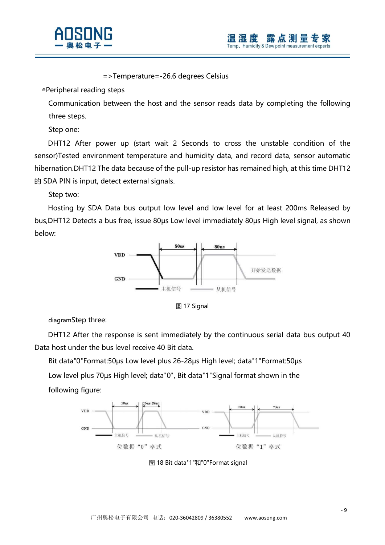

=>Temperature=-26.6 degrees Celsius

◎Peripheral reading steps

Communication between the host and the sensor reads data by completing the following three steps.

Step one:

DHT12 After power up (start wait 2 Seconds to cross the unstable condition of the sensor)Tested environment temperature and humidity data, and record data, sensor automatic hibernation.DHT12 The data because of the pull-up resistor has remained high, at this time DHT12 的 SDA PIN is input, detect external signals.

Step two:

Hosting by SDA Data bus output low level and low level for at least 200ms Released by bus,DHT12 Detects a bus free, issue 80µs Low level immediately 80µs High level signal, as shown below:



图 17 Signal

diagramStep three:

DHT12 After the response is sent immediately by the continuous serial data bus output 40 Data host under the bus level receive 40 Bit data.

Bit data"0"Format:50µs Low level plus 26-28µs High level; data"1"Format:50µs

Low level plus 70µs High level; data"0", Bit data"1"Signal format shown in the following figure:



图 18 Bit data"1"和"0"Format signal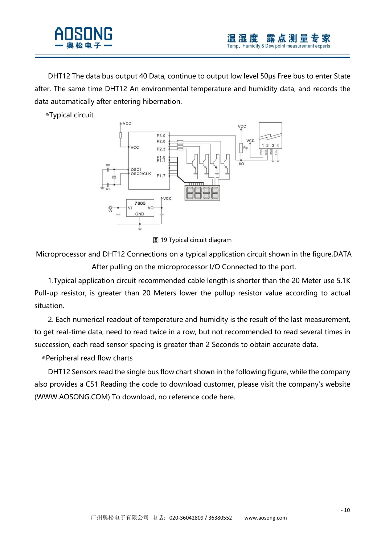

DHT12 The data bus output 40 Data, continue to output low level 50µs Free bus to enter State after. The same time DHT12 An environmental temperature and humidity data, and records the data automatically after entering hibernation.

◎Typical circuit



图 19 Typical circuit diagram

Microprocessor and DHT12 Connections on a typical application circuit shown in the figure,DATA After pulling on the microprocessor I/O Connected to the port.

1.Typical application circuit recommended cable length is shorter than the 20 Meter use 5.1K Pull-up resistor, is greater than 20 Meters lower the pullup resistor value according to actual situation.

2. Each numerical readout of temperature and humidity is the result of the last measurement, to get real-time data, need to read twice in a row, but not recommended to read several times in succession, each read sensor spacing is greater than 2 Seconds to obtain accurate data.

◎Peripheral read flow charts

DHT12 Sensors read the single bus flow chart shown in the following figure, while the company also provides a C51 Reading the code to download customer, please visit the company's website (WWW.AOSONG.COM) To download, no reference code here.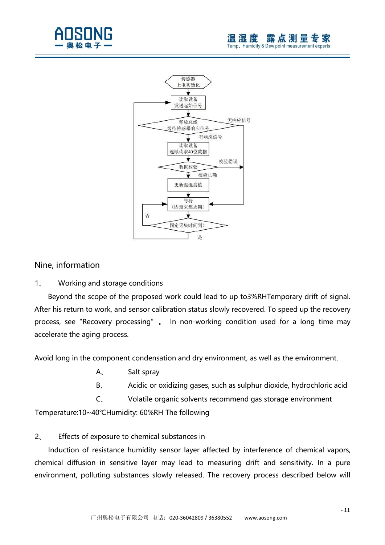



#### Nine, information

1、 Working and storage conditions

Beyond the scope of the proposed work could lead to up to3%RHTemporary drift of signal. After his return to work, and sensor calibration status slowly recovered. To speed up the recovery process, see"Recovery processing"。 In non-working condition used for a long time may accelerate the aging process.

Avoid long in the component condensation and dry environment, as well as the environment.

- A、 Salt spray
- B、 Acidic or oxidizing gases, such as sulphur dioxide, hydrochloric acid

C、 Volatile organic solvents recommend gas storage environment

Temperature:10~40℃Humidity: 60%RH The following

#### 2、 Effects of exposure to chemical substances in

Induction of resistance humidity sensor layer affected by interference of chemical vapors, chemical diffusion in sensitive layer may lead to measuring drift and sensitivity. In a pure environment, polluting substances slowly released. The recovery process described below will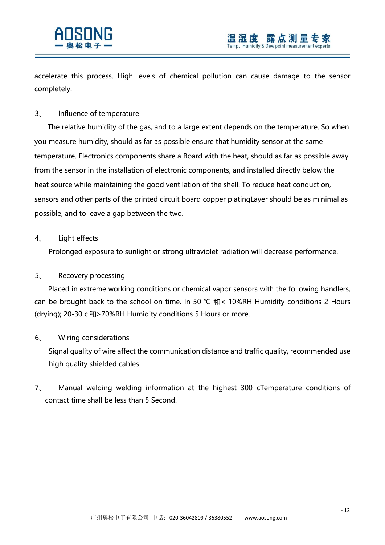

accelerate this process. High levels of chemical pollution can cause damage to the sensor completely.

#### 3、 Influence of temperature

The relative humidity of the gas, and to a large extent depends on the temperature. So when you measure humidity, should as far as possible ensure that humidity sensor at the same temperature. Electronics components share a Board with the heat, should as far as possible away from the sensor in the installation of electronic components, and installed directly below the heat source while maintaining the good ventilation of the shell. To reduce heat conduction, sensors and other parts of the printed circuit board copper platingLayer should be as minimal as possible, and to leave a gap between the two.

#### 4、 Light effects

Prolonged exposure to sunlight or strong ultraviolet radiation will decrease performance.

#### 5、 Recovery processing

Placed in extreme working conditions or chemical vapor sensors with the following handlers, can be brought back to the school on time. In 50 °C 和< 10%RH Humidity conditions 2 Hours (drying); 20-30 c 和>70%RH Humidity conditions 5 Hours or more.

#### 6、 Wiring considerations

Signal quality of wire affect the communication distance and traffic quality, recommended use high quality shielded cables.

7、 Manual welding welding information at the highest 300 cTemperature conditions of contact time shall be less than 5 Second.